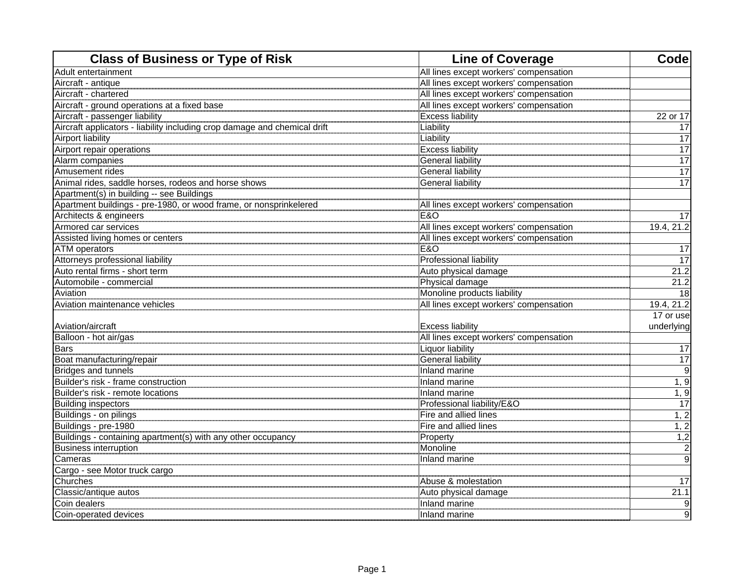| <b>Class of Business or Type of Risk</b>                                  | <b>Line of Coverage</b>                | Code            |
|---------------------------------------------------------------------------|----------------------------------------|-----------------|
| Adult entertainment                                                       | All lines except workers' compensation |                 |
| Aircraft - antique                                                        | All lines except workers' compensation |                 |
| Aircraft - chartered                                                      | All lines except workers' compensation |                 |
| Aircraft - ground operations at a fixed base                              | All lines except workers' compensation |                 |
| Aircraft - passenger liability                                            | <b>Excess liability</b>                | 22 or 17        |
| Aircraft applicators - liability including crop damage and chemical drift | Liability                              | 17              |
| <b>Airport liability</b>                                                  | Liability                              | 17              |
| Airport repair operations                                                 | <b>Excess liability</b>                | $\overline{17}$ |
| Alarm companies                                                           | <b>General liability</b>               | $\overline{17}$ |
| Amusement rides                                                           | <b>General liability</b>               | $\overline{17}$ |
| Animal rides, saddle horses, rodeos and horse shows                       | <b>General liability</b>               | 17              |
| Apartment(s) in building -- see Buildings                                 |                                        |                 |
| Apartment buildings - pre-1980, or wood frame, or nonsprinkelered         | All lines except workers' compensation |                 |
| Architects & engineers                                                    | E&O                                    | 17              |
| Armored car services                                                      | All lines except workers' compensation | 19.4, 21.2      |
| Assisted living homes or centers                                          | All lines except workers' compensation |                 |
| <b>ATM</b> operators                                                      | <b>E&amp;O</b>                         | $\overline{17}$ |
| Attorneys professional liability                                          | Professional liability                 | 17              |
| Auto rental firms - short term                                            | Auto physical damage                   | 21.2            |
| Automobile - commercial                                                   | Physical damage                        | 21.2            |
| Aviation                                                                  | Monoline products liability            | 18              |
| Aviation maintenance vehicles                                             | All lines except workers' compensation | 19.4, 21.2      |
|                                                                           |                                        | 17 or use       |
| Aviation/aircraft                                                         | <b>Excess liability</b>                | underlying      |
| Balloon - hot air/gas                                                     | All lines except workers' compensation |                 |
| <b>Bars</b>                                                               | <b>Liquor liability</b>                | 17              |
| Boat manufacturing/repair                                                 | General liability                      | $\overline{17}$ |
| <br> Bridges and tunnels                                                  | <b>Inland marine</b>                   | 9               |
| Builder's risk - frame construction                                       | Inland marine                          | 1, 9            |
| Builder's risk - remote locations                                         | Inland marine                          | 1, 9            |
| <b>Building inspectors</b>                                                | Professional liability/E&O             | 17              |
| Buildings - on pilings                                                    | Fire and allied lines                  | 1, 2            |
| Buildings - pre-1980                                                      | Fire and allied lines                  | 1, 2            |
| Buildings - containing apartment(s) with any other occupancy              | Property                               | 1,2             |
| <b>Business interruption</b>                                              | Monoline                               | $\overline{c}$  |
| Cameras                                                                   | Inland marine                          | $\overline{9}$  |
| Cargo - see Motor truck cargo                                             |                                        |                 |
| Churches                                                                  | Abuse & molestation                    | 17              |
| Classic/antique autos                                                     | Auto physical damage                   | 21.1            |
| Coin dealers                                                              | Inland marine                          | 9               |
| Coin-operated devices                                                     | Inland marine                          | $\overline{9}$  |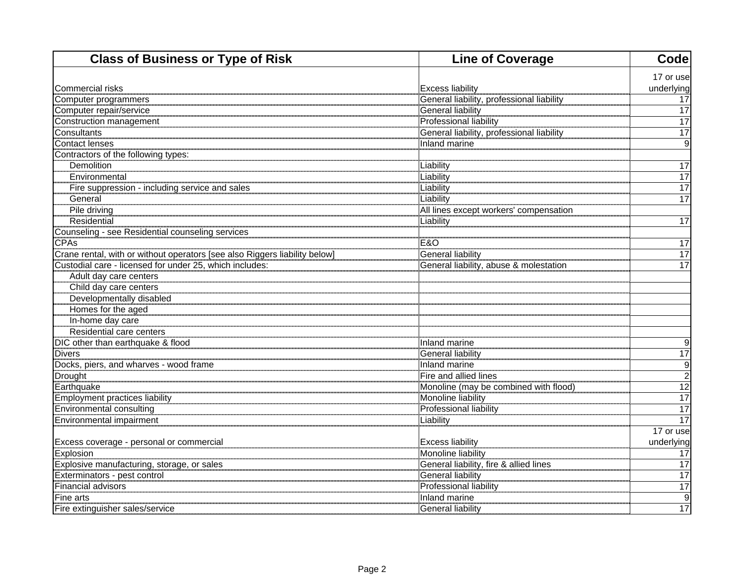| <b>Class of Business or Type of Risk</b>                                   | <b>Line of Coverage</b>                   | Code            |
|----------------------------------------------------------------------------|-------------------------------------------|-----------------|
|                                                                            |                                           | 17 or use       |
| lCommercial risks                                                          | <b>Excess liability</b>                   | underlying      |
| Computer programmers                                                       | General liability, professional liability | 17              |
| Computer repair/service                                                    | <b>General liability</b>                  | $\overline{17}$ |
| Construction management                                                    | <b>Professional liability</b>             | $\overline{17}$ |
| Consultants                                                                | General liability, professional liability | 17              |
| Contact lenses                                                             | Inland marine                             | $\overline{9}$  |
| Contractors of the following types:                                        |                                           |                 |
| <b>Demolition</b>                                                          | Liability<br>Liability                    | $\overline{17}$ |
| Environmental                                                              |                                           | $\overline{17}$ |
| Fire suppression - including service and sales                             | Liability                                 | $\overline{17}$ |
| General                                                                    |                                           | $\overline{17}$ |
| Pile driving                                                               | All lines except workers' compensation    |                 |
| <b>Residential</b>                                                         | Liability                                 | $\overline{17}$ |
| Counseling - see Residential counseling services                           |                                           |                 |
| <b>CPAs</b>                                                                | E&O                                       | 17              |
| Crane rental, with or without operators [see also Riggers liability below] | General liability                         | $\overline{17}$ |
| Custodial care - licensed for under 25, which includes:                    | General liability, abuse & molestation    | $\overline{17}$ |
| Adult day care centers                                                     |                                           |                 |
| Child day care centers                                                     |                                           |                 |
| Developmentally disabled                                                   |                                           |                 |
| Homes for the aged                                                         |                                           |                 |
| In-home day care                                                           |                                           |                 |
| Residential care centers                                                   |                                           |                 |
| DIC other than earthquake & flood                                          | Inland marine                             | 9               |
| Divers<br>Docks, piers, and wharves - wood frame                           | General liability                         | 17              |
|                                                                            | Inland marine                             | $\overline{9}$  |
| <b>Drought</b>                                                             | Fire and allied lines                     | $\overline{2}$  |
| Earthquake                                                                 | Monoline (may be combined with flood)     | 12              |
| Employment practices liability                                             | Monoline liability                        | 17              |
| Environmental consulting                                                   | Professional liability                    | 17              |
| Environmental impairment                                                   | <b>Liability</b>                          | 17              |
|                                                                            |                                           | 17 or use       |
| Excess coverage - personal or commercial                                   | <b>Excess liability</b>                   | underlying      |
| <b>Explosion</b>                                                           | Monoline liability                        | 17              |
| Explosive manufacturing, storage, or sales                                 | General liability, fire & allied lines    | 17              |
| Exterminators - pest control                                               | General liability                         | 17              |
| Financial advisors                                                         | <b>Professional liability</b>             | 17              |
| Fine arts                                                                  | Inland marine                             | 9               |
| Fire extinguisher sales/service                                            | General liability                         | 17              |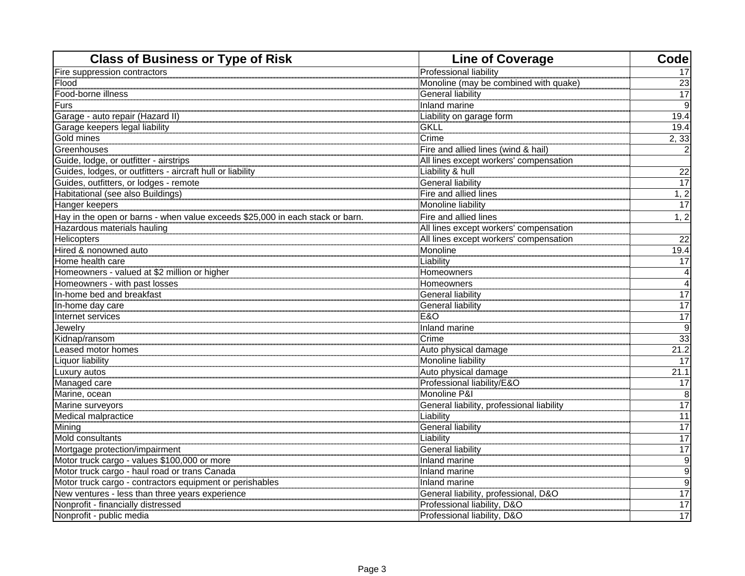| <b>Class of Business or Type of Risk</b>                                      | <b>Line of Coverage</b>                   | Code             |
|-------------------------------------------------------------------------------|-------------------------------------------|------------------|
| Fire suppression contractors                                                  | Professional liability                    | 17               |
| Flood                                                                         | Monoline (may be combined with quake)     | 23               |
| Food-borne illness                                                            | <b>General liability</b>                  | $\overline{17}$  |
| Furs                                                                          | Inland marine                             | 9                |
| Garage - auto repair (Hazard II)                                              | Liability on garage form                  | 19.4             |
| Garage keepers legal liability                                                | <b>GKLL</b>                               | 19.4             |
| Gold mines                                                                    | Crime                                     | 2,33             |
| Greenhouses                                                                   | Fire and allied lines (wind & hail)       | 2                |
| Guide, lodge, or outfitter - airstrips                                        | All lines except workers' compensation    |                  |
| Guides, lodges, or outfitters - aircraft hull or liability                    | Liability & hull                          | 22               |
| Guides, outfitters, or lodges - remote                                        | <b>General liability</b>                  | 17               |
| Habitational (see also Buildings)                                             | Fire and allied lines                     | 1, 2             |
| Hanger keepers                                                                | Monoline liability                        | 17               |
| Hay in the open or barns - when value exceeds \$25,000 in each stack or barn. | Fire and allied lines                     | 1, 2             |
| Hazardous materials hauling                                                   | All lines except workers' compensation    |                  |
| Helicopters                                                                   | All lines except workers' compensation    | $\overline{22}$  |
| Hired & nonowned auto                                                         | Monoline                                  | 19.4             |
| Home health care                                                              | Liability                                 | 17               |
| Homeowners - valued at \$2 million or higher                                  | Homeowners                                | $\overline{4}$   |
| Homeowners - with past losses                                                 | Homeowners                                | $\overline{4}$   |
| In-home bed and breakfast                                                     | <b>General liability</b>                  | 17               |
| In-home day care                                                              | General liability                         | 17               |
| Internet services                                                             | <b>E&amp;O</b>                            | 17               |
| Jewelry                                                                       | Inland marine                             | $\overline{9}$   |
| Kidnap/ransom                                                                 | Crime                                     | 33               |
| Leased motor homes                                                            | Auto physical damage                      | 21.2             |
| Liquor liability                                                              | Monoline liability                        | 17               |
| Luxury autos                                                                  | Auto physical damage                      | 21.1             |
| Managed care                                                                  | Professional liability/E&O                | 17               |
| Marine, ocean                                                                 | Monoline P&I                              | 8                |
| Marine surveyors                                                              | General liability, professional liability | 17               |
| Medical malpractice                                                           | Liability                                 | $\overline{11}$  |
| Mining                                                                        | <b>General liability</b>                  | 17               |
| Mold consultants                                                              | Liability                                 | 17               |
| Mortgage protection/impairment                                                | General liability                         | 17               |
| Motor truck cargo - values \$100,000 or more                                  | Inland marine                             | $\overline{9}$   |
| Motor truck cargo - haul road or trans Canada                                 | Inland marine                             | $\boldsymbol{9}$ |
| Motor truck cargo - contractors equipment or perishables                      | Inland marine                             | 9                |
| New ventures - less than three years experience                               | General liability, professional, D&O      | 17               |
| Nonprofit - financially distressed                                            | Professional liability, D&O               | 17               |
| Nonprofit - public media                                                      | Professional liability, D&O               | 17               |